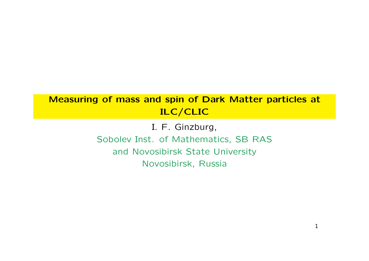#### **Measuring of mass and spin of Dark Matter particles at ILC/CLIC**

I. F. Ginzburg, Sobolev Inst. of Mathematics, SB RAS and Novosibirsk State University Novosibirsk, Russia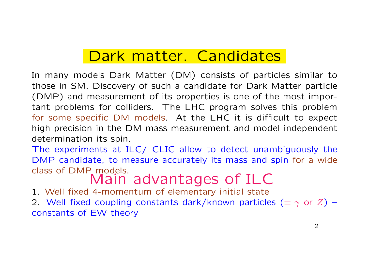## Dark matter. Candidates

In many models Dark Matter (DM) consists of particles similar to those in SM. Discovery of such a candidate for Dark Matter particle (DMP) and measurement of its properties is one of the most important problems for colliders. The LHC program solves this problem for some specific DM models. At the LHC it is difficult to expect high precision in the DM mass measurement and model independent determination its spin.

The experiments at ILC/ CLIC allow to detect unambiguously the DMP candidate, to measure accurately its mass and spin for a wide

# class of DMP models.<br>Main advantages of ILC

1. Well fixed 4-momentum of elementary initial state

2. Well fixed coupling constants dark/known particles (*≡ γ* or *Z*) – constants of EW theory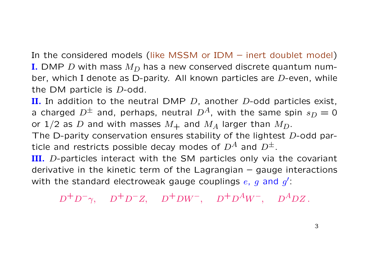In the considered models (like MSSM or IDM – inert doublet model) **I.** DMP *D* with mass *M<sup>D</sup>* has a new conserved discrete quantum number, which I denote as D-parity. All known particles are *D*-even, while the DM particle is *D*-odd.

**II.** In addition to the neutral DMP *D*, another *D*-odd particles exist, a charged  $D^{\pm}$  and, perhaps, neutral  $D^{A}$ , with the same spin  $s_D = 0$ or  $1/2$  as *D* and with masses  $M_+$  and  $M_A$  larger than  $M_D$ .

The D-parity conservation ensures stability of the lightest *D*-odd particle and restricts possible decay modes of  $D^A$  and  $D^{\pm}$ .

**III.** *D*-particles interact with the SM particles only via the covariant derivative in the kinetic term of the Lagrangian  $-$  gauge interactions with the standard electroweak gauge couplings *e*, *g* and *g ′* :

 $D^{+}D^{-}\gamma$ ,  $D^{+}D^{-}Z$ ,  $D^{+}DW^{-}$ ,  $D^{+}D^{A}W^{-}$ ,  $D^{A}DZ$ .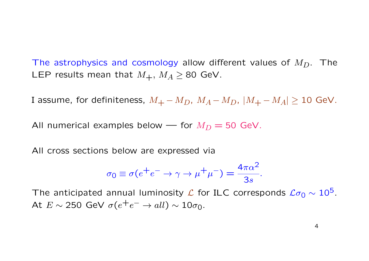The astrophysics and cosmology allow different values of *MD*. The LEP results mean that  $M_{+}$ ,  $M_{A} \geq 80$  GeV.

I assume, for definiteness,  $M_+ - M_D$ ,  $M_A - M_D$ ,  $|M_+ - M_A| \geq 10$  GeV.

All numerical examples below — for  $M_D = 50$  GeV.

All cross sections below are expressed via

$$
\sigma_0 \equiv \sigma(e^+e^- \to \gamma \to \mu^+\mu^-) = \frac{4\pi\alpha^2}{3s}.
$$

The anticipated annual luminosity  $\mathcal L$  for ILC corresponds  $\mathcal L\sigma_0 \sim 10^5$ . At  $E \sim 250$  GeV  $\sigma(e^+e^- \rightarrow all) \sim 10\sigma_0$ .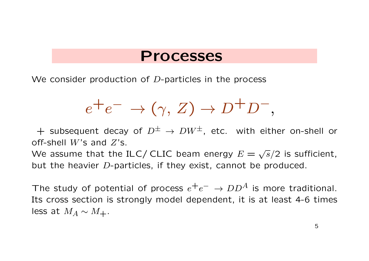#### **Processes**

We consider production of *D*-particles in the process

$$
e^+e^- \to (\gamma, Z) \to D^+D^-,
$$

 $+$  subsequent decay of  $D^{\pm} \rightarrow D W^{\pm}$ , etc. with either on-shell or off-shell *W*'s and *Z*'s.

We assume that the ILC/ CLIC beam energy  $E = \sqrt{s}/2$  is sufficient, but the heavier *D*-particles, if they exist, cannot be produced.

The study of potential of process  $e^+e^- \rightarrow DD^A$  is more traditional. Its cross section is strongly model dependent, it is at least 4-6 times less at  $M_A \sim M_+$ .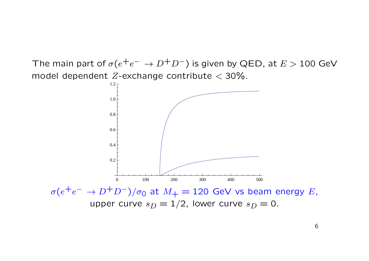The main part of  $\sigma(e^+e^-\to D^+D^-)$  is given by QED, at  $E>100$  GeV model dependent *Z*-exchange contribute *<* 30%.

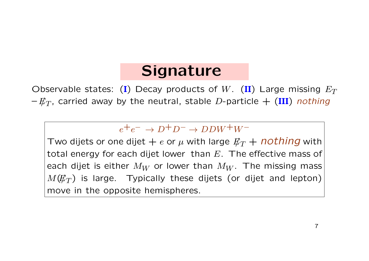# **Signature**

Observable states: (**I**) Decay products of *W*. (**II**) Large missing *E<sup>T</sup>*  $-E_T$ , carried away by the neutral, stable *D*-particle  $+$  (III) *nothing* 

 $e^+e^- \rightarrow D^+D^- \rightarrow DDW^+W^-$ 

Two dijets or one dijet  $+ e$  or  $\mu$  with large  $E_T + \textit{nothing}$  with total energy for each dijet lower than *E*. The effective mass of each dijet is either  $M_W$  or lower than  $M_W$ . The missing mass  $M(E_T)$  is large. Typically these dijets (or dijet and lepton) move in the opposite hemispheres.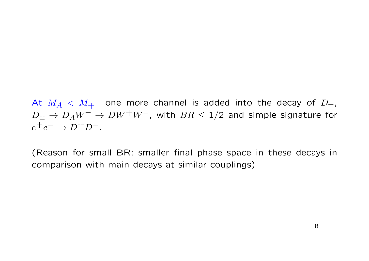At  $M_A < M_+$  one more channel is added into the decay of  $D_{\pm}$ ,  $D_{\pm}$  →  $D_A W^{\pm}$  →  $DW^+W^-$ , with  $BR \leq 1/2$  and simple signature for  $e^+e^- \to D^+D^-$ .

(Reason for small BR: smaller final phase space in these decays in comparison with main decays at similar couplings)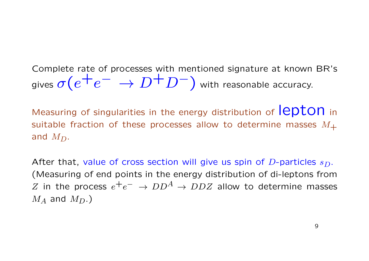Complete rate of processes with mentioned signature at known BR's gives  $\sigma(e^+e^- \to D^+D^-)$  with reasonable accuracy.

Measuring of singularities in the energy distribution of ICDTON in suitable fraction of these processes allow to determine masses  $M_{+}$ and  $M_D$ .

After that, value of cross section will give us spin of *D*-particles *sD*. (Measuring of end points in the energy distribution of di-leptons from  $Z$  in the process  $e^+e^- \rightarrow DD^A \rightarrow DDZ$  allow to determine masses  $M_A$  and  $M_D$ .)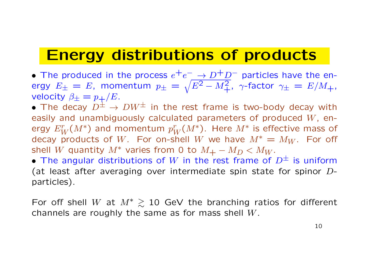### **Energy distributions of products**

• The produced in the process  $e^+e^-$  →  $D^+D^-$  particles have the energy  $E_{\pm} = E$ , momentum  $p_{\pm} = \sqrt{E^2 - M_{+}^2}$ ,  $\gamma$ -factor  $\gamma_{\pm} = E/M_{+}$ , velocity  $\beta_{\pm} = p_{+}/E$ .

*•* The decay *D<sup>±</sup> → DW<sup>±</sup>* in the rest frame is two-body decay with easily and unambiguously calculated parameters of produced *W*, energy  $E_W^r(M^*)$  and momentum  $p_W^r(M^*)$ . Here  $M^*$  is effective mass of decay products of W. For on-shell W we have  $M^* = M_W$ . For off shell *W* quantity  $M^*$  varies from 0 to  $M_+ - M_D < M_W$ .

*•* The angular distributions of *W* in the rest frame of *D<sup>±</sup>* is uniform (at least after averaging over intermediate spin state for spinor *D*particles).

For off shell *W* at  $M^* \ge 10$  GeV the branching ratios for different channels are roughly the same as for mass shell *W*.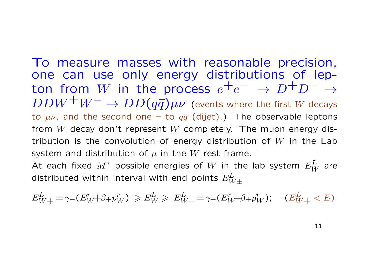To measure masses with reasonable precision, one can use only energy distributions of lepton from *W* in the process  $e^+e^- \rightarrow D^+D^- \rightarrow$  $DDW^+W^- \rightarrow DD(q\bar{q})\mu\nu$  (events where the first *W* decays to  $\mu\nu$ , and the second one – to  $q\bar{q}$  (dijet).) The observable leptons from *W* decay don't represent *W* completely. The muon energy distribution is the convolution of energy distribution of *W* in the Lab system and distribution of  $\mu$  in the  $W$  rest frame. At each fixed  $M^*$  possible energies of  $W$  in the lab system  $E_W^L$  are

distributed within interval with end points *E<sup>L</sup> W±*

$$
E_{W+}^L = \gamma_{\pm}(E_W^r + \beta_{\pm} p_W^r) \ge E_W^L \ge E_{W-}^L = \gamma_{\pm}(E_W^r - \beta_{\pm} p_W^r); \quad (E_{W+}^L < E).
$$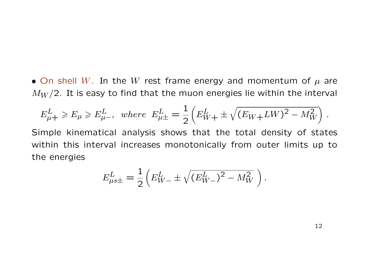*•* On shell *W*. In the *W* rest frame energy and momentum of *µ* are  $M_W/2$ . It is easy to find that the muon energies lie within the interval

$$
E_{\mu+}^L \ge E_{\mu} \ge E_{\mu-}^L
$$
, where  $E_{\mu+}^L = \frac{1}{2} \left( E_{W+}^L \pm \sqrt{(E_W + LW)^2 - M_W^2} \right)$ .

Simple kinematical analysis shows that the total density of states within this interval increases monotonically from outer limits up to the energies

$$
E_{\mu s \pm}^L = \frac{1}{2} \left( E_{W-}^L \pm \sqrt{(E_{W-}^L)^2 - M_W^2} \right).
$$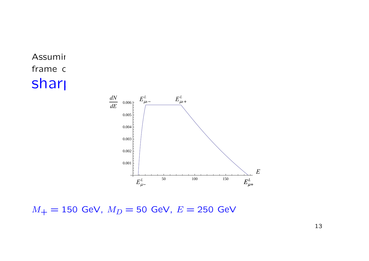



 $M_{+} = 150$  GeV,  $M_{D} = 50$  GeV,  $E = 250$  GeV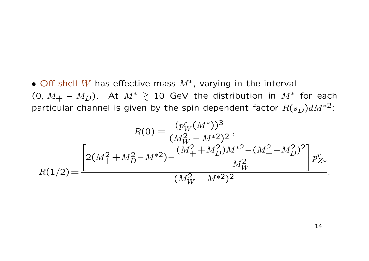*•* Off shell *W* has effective mass *M<sup>∗</sup>* , varying in the interval (0,  $M_+ - M_D$ ). At  $M^* \ge 10$  GeV the distribution in  $M^*$  for each particular channel is given by the spin dependent factor  $R(s_D)dM^{*2}$ :

$$
R(0) = \frac{(p_W^r (M^*))^3}{(M_W^2 - M^{*2})^2},
$$
  

$$
R(1/2) = \frac{\left[2(M_+^2 + M_D^2 - M^{*2}) - \frac{(M_+^2 + M_D^2)M^{*2} - (M_+^2 - M_D^2)^2}{M_W^2}\right]p_{Z*}^r}{(M_W^2 - M^{*2})^2}.
$$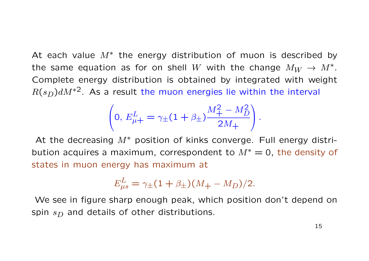At each value *M∗* the energy distribution of muon is described by the same equation as for on shell  $W$  with the change  $M_W \rightarrow M^* .$ Complete energy distribution is obtained by integrated with weight  $R(s_D)dM^{*2}$ . As a result the muon energies lie within the interval

$$
\left(0, E_{\mu+}^L = \gamma_{\pm} (1 + \beta_{\pm}) \frac{M_{+}^2 - M_D^2}{2M_{+}}\right).
$$

At the decreasing *M∗* position of kinks converge. Full energy distribution acquires a maximum, correspondent to  $M^* = 0$ , the density of states in muon energy has maximum at

$$
E_{\mu s}^{L} = \gamma_{\pm} (1 + \beta_{\pm}) (M_{+} - M_{D}) / 2.
$$

We see in figure sharp enough peak, which position don't depend on spin  $s_D$  and details of other distributions.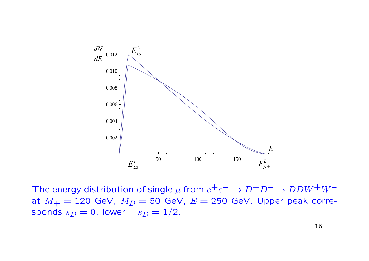

The energy distribution of single  $\mu$  from  $e^+e^- \to D^+D^- \to DDW^+W^$ at  $M_+ = 120$  GeV,  $M_D = 50$  GeV,  $E = 250$  GeV. Upper peak corresponds  $s_D = 0$ , lower –  $s_D = 1/2$ .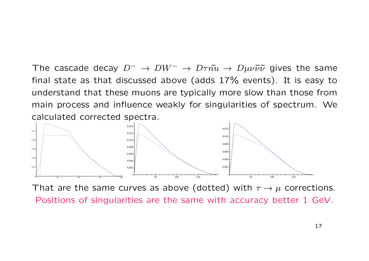The cascade decay  $D^- \to D W^- \to D \tau \bar{u} \to D \mu \nu \bar{\nu} \bar{\nu}$  gives the same final state as that discussed above (adds 17% events). It is easy to understand that these muons are typically more slow than those from main process and influence weakly for singularities of spectrum. We calculated corrected spectra.



That are the same curves as above (dotted) with *τ → µ* corrections. Positions of singularities are the same with accuracy better 1 GeV.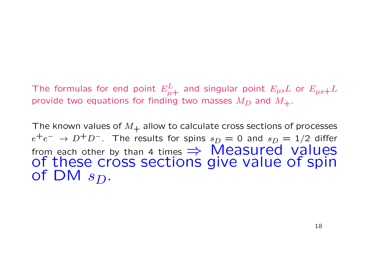The formulas for end point  $E^{L}_{\mu+}$  and singular point  $E_{\mu s} L$  or  $E_{\mu s+} L$ provide two equations for finding two masses  $M_D$  and  $M_{+}$ .

The known values of  $M_{+}$  allow to calculate cross sections of processes  $e^+e^- \rightarrow D^+D^-$ . The results for spins  $s_D = 0$  and  $s_D = 1/2$  differ from each other by than 4 times **→ Measured values** of these cross sections give value of spin of DM *sD*.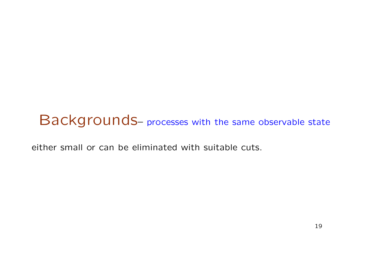#### Backgrounds– processes with the same observable state

either small or can be eliminated with suitable cuts.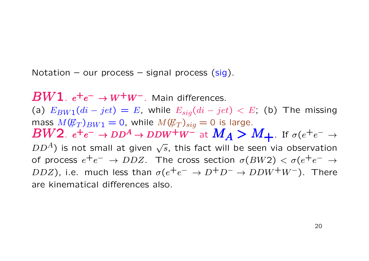Notation – our process – signal process  $(sig)$ .

*BW*<sup>1</sup>. *e*<sup>+</sup>*e*<sup>−</sup> → *W*<sup>+</sup>*W*<sup>−</sup>. Main differences. (a)  $E_{BW1}(di - jet) = E$ , while  $E_{sig}(di - jet) < E$ ; (b) The missing mass  $M(\mathcal{F}_T)_{BW1} = 0$ , while  $M(\mathcal{F}_T)_{siq} = 0$  is large.  $BW2.$   $e^+e^- \rightarrow DD^A \rightarrow DDW^+W^-$  at  $M_A > M_+$ . If  $\sigma(e^+e^- \rightarrow$  $DD<sup>A</sup>$ ) is not small at given  $\sqrt{s}$ , this fact will be seen via observation of process  $e^+e^- \to DDZ$ . The cross section  $\sigma(BW2) < \sigma(e^+e^- \to \sigma)$  $DDZ$ ), i.e. much less than  $\sigma(e^+e^- \to D^+D^- \to DDW^+W^-)$ . There are kinematical differences also.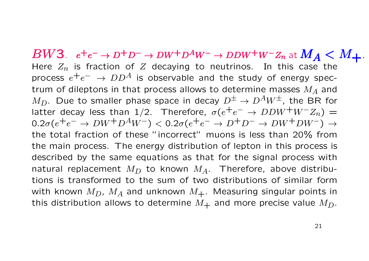$BW3.$   $e^+e^- \rightarrow D^+D^- \rightarrow DW^+D^AW^- \rightarrow DDW^+W^-Z_n$  at  $M_A < M_+$ . Here *Zn* is fraction of *Z* decaying to neutrinos. In this case the process *e*+*e <sup>−</sup> <sup>→</sup> DD<sup>A</sup>* is observable and the study of energy spectrum of dileptons in that process allows to determine masses *M<sup>A</sup>* and *M*<sub>D</sub>. Due to smaller phase space in decay  $D^{\pm} \rightarrow D^{A}W^{\pm}$ , the BR for latter decay less than 1/2. Therefore,  $\sigma(e^+e^- \to DDW^+W^-Z_n)$  =  $0.2\sigma(e^+e^-\to D W^+D^AW^-) < 0.2\sigma(e^+e^-\to D^+D^-\to D W^+D W^-) \to$ the total fraction of these "incorrect" muons is less than 20% from the main process. The energy distribution of lepton in this process is described by the same equations as that for the signal process with natural replacement  $M_D$  to known  $M_A$ . Therefore, above distributions is transformed to the sum of two distributions of similar form with known  $M_D$ ,  $M_A$  and unknown  $M_+$ . Measuring singular points in this distribution allows to determine  $M_{+}$  and more precise value  $M_{D}$ .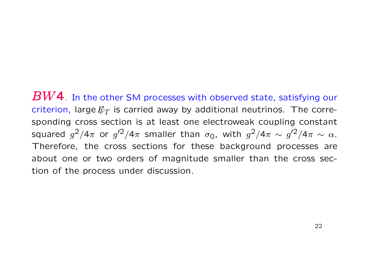*BW*4. In the other SM processes with observed state, satisfying our criterion, large  $E_T$  is carried away by additional neutrinos. The corresponding cross section is at least one electroweak coupling constant squared  $g^2/4\pi$  or  $g'^2/4\pi$  smaller than  $\sigma_0$ , with  $g^2/4\pi \sim g'^2/4\pi \sim \alpha$ . Therefore, the cross sections for these background processes are about one or two orders of magnitude smaller than the cross section of the process under discussion.